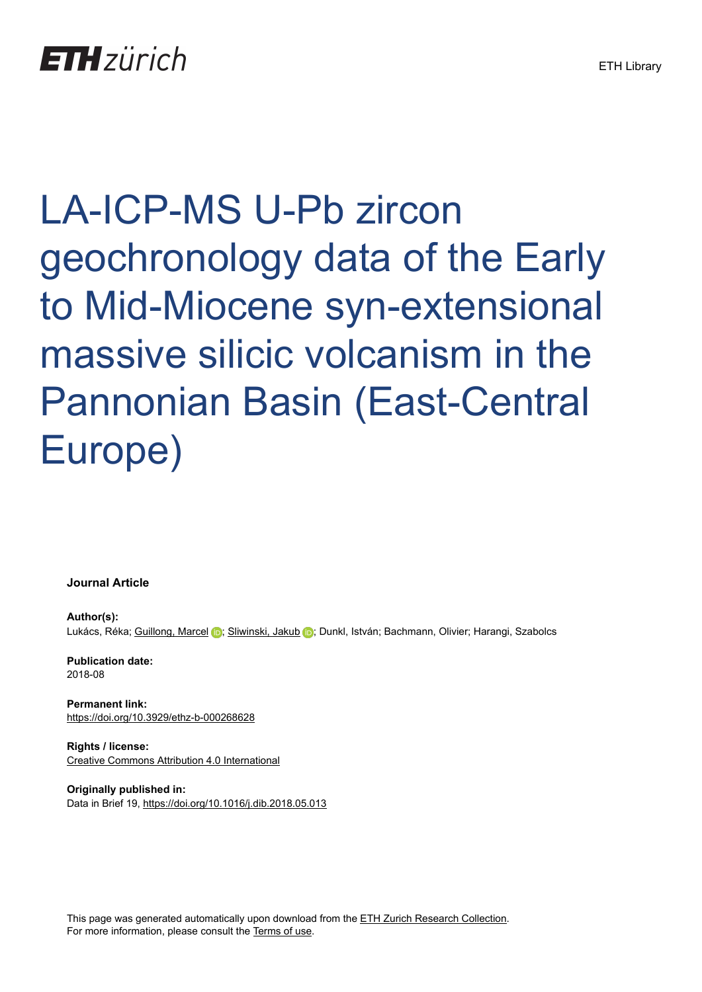# **ETH** zürich

# LA-ICP-MS U-Pb zircon geochronology data of the Early to Mid-Miocene syn-extensional massive silicic volcanism in the Pannonian Basin (East-Central Europe)

**Journal Article**

**Author(s):**

Lukács, Réka; [Guillong, Marcel](https://orcid.org/0000-0002-6920-3362) D; [Sliwinski, Jakub](https://orcid.org/0000-0003-3069-9978) D; Dunkl, István; Bachmann, Olivier; Harangi, Szabolcs

**Publication date:** 2018-08

**Permanent link:** <https://doi.org/10.3929/ethz-b-000268628>

**Rights / license:** [Creative Commons Attribution 4.0 International](http://creativecommons.org/licenses/by/4.0/)

**Originally published in:** Data in Brief 19,<https://doi.org/10.1016/j.dib.2018.05.013>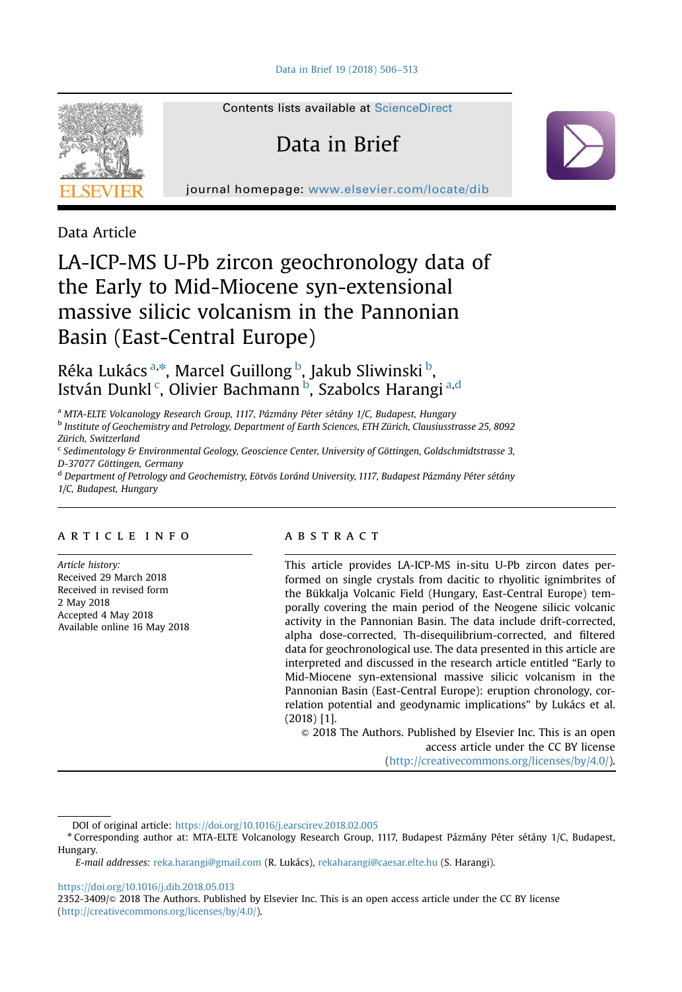

Contents lists available at [ScienceDirect](www.sciencedirect.com/science/journal/23523409)

## Data in Brief

journal homepage: <www.elsevier.com/locate/dib>

Data Article

### LA-ICP-MS U-Pb zircon geochronology data of the Early to Mid-Miocene syn-extensional massive silicic volcanism in the Pannonian Basin (East-Central Europe)

Réka Lukács<sup>a,\*</sup>, Marcel Guillong <sup>b</sup>, Jakub Sliwinski <sup>b</sup>, István Dunkl<sup>c</sup>, Olivier Bachmann <sup>b</sup>, Szabolcs Harangi<sup>a,d</sup>

<sup>a</sup> MTA-ELTE Volcanology Research Group, 1117, Pázmány Péter sétány 1/C, Budapest, Hungary

<sup>b</sup> Institute of Geochemistry and Petrology, Department of Earth Sciences, ETH Zürich, Clausiusstrasse 25, 8092 Zürich, Switzerland

<sup>c</sup> Sedimentology & Environmental Geology, Geoscience Center, University of Göttingen, Goldschmidtstrasse 3, D-37077 Göttingen, Germany

<sup>d</sup> Department of Petrology and Geochemistry, Eötvös Loránd University, 1117, Budapest Pázmány Péter sétány 1/C, Budapest, Hungary

#### article info

Article history: Received 29 March 2018 Received in revised form 2 May 2018 Accepted 4 May 2018 Available online 16 May 2018

#### **ABSTRACT**

This article provides LA-ICP-MS in-situ U-Pb zircon dates performed on single crystals from dacitic to rhyolitic ignimbrites of the Bükkalja Volcanic Field (Hungary, East-Central Europe) temporally covering the main period of the Neogene silicic volcanic activity in the Pannonian Basin. The data include drift-corrected, alpha dose-corrected, Th-disequilibrium-corrected, and filtered data for geochronological use. The data presented in this article are interpreted and discussed in the research article entitled "Early to Mid-Miocene syn-extensional massive silicic volcanism in the Pannonian Basin (East-Central Europe): eruption chronology, correlation potential and geodynamic implications" by Lukács et al. (2018) [1].

 $\odot$  2018 The Authors. Published by Elsevier Inc. This is an open access article under the CC BY license (http://creativecommons.org/licenses/by/4.0/).

DOI of original article: [https://doi.org/10.1016/j.earscirev.2018.02.005](http://dx.doi.org/10.1016/j.earscirev.2018.02.005)

<https://doi.org/10.1016/j.dib.2018.05.013>

2352-3409/© 2018 The Authors. Published by Elsevier Inc. This is an open access article under the CC BY license (http://creativecommons.org/licenses/by/4.0/).

<sup>n</sup> Corresponding author at: MTA-ELTE Volcanology Research Group, 1117, Budapest Pázmány Péter sétány 1/C, Budapest, Hungary.

E-mail addresses: reka.harangi@gmail.com (R. Lukács), [rekaharangi@caesar.elte.hu](mailto:reka.harangi@gmail.com) (S. Harangi).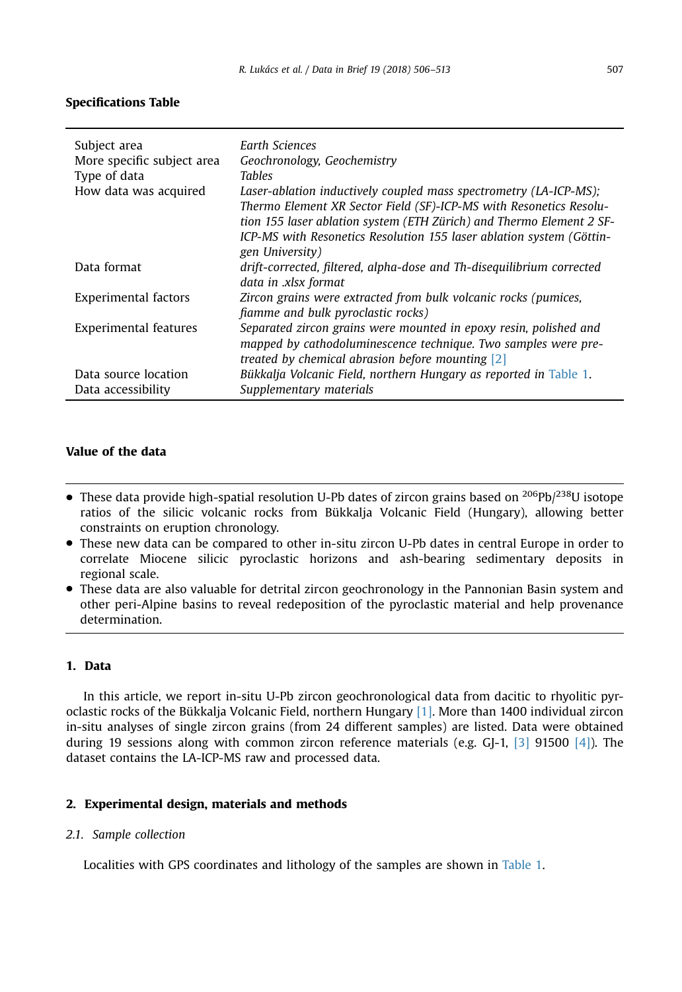#### Specifications Table

| Subject area<br>More specific subject area<br>Type of data | Earth Sciences<br>Geochronology, Geochemistry<br><b>Tables</b>                                                                                                                                                                                                                                             |
|------------------------------------------------------------|------------------------------------------------------------------------------------------------------------------------------------------------------------------------------------------------------------------------------------------------------------------------------------------------------------|
| How data was acquired                                      | Laser-ablation inductively coupled mass spectrometry (LA-ICP-MS);<br>Thermo Element XR Sector Field (SF)-ICP-MS with Resonetics Resolu-<br>tion 155 laser ablation system (ETH Zürich) and Thermo Element 2 SF-<br>ICP-MS with Resonetics Resolution 155 laser ablation system (Göttin-<br>gen University) |
| Data format                                                | drift-corrected, filtered, alpha-dose and Th-disequilibrium corrected<br>data in .xlsx format                                                                                                                                                                                                              |
| Experimental factors                                       | Zircon grains were extracted from bulk volcanic rocks (pumices,<br>fiamme and bulk pyroclastic rocks)                                                                                                                                                                                                      |
| <b>Experimental features</b>                               | Separated zircon grains were mounted in epoxy resin, polished and<br>mapped by cathodoluminescence technique. Two samples were pre-<br>treated by chemical abrasion before mounting [2]                                                                                                                    |
| Data source location                                       | Bükkalja Volcanic Field, northern Hungary as reported in Table 1,                                                                                                                                                                                                                                          |
| Data accessibility                                         | Supplementary materials                                                                                                                                                                                                                                                                                    |

#### Value of the data

- $\bullet$  These data provide high-spatial resolution U-Pb dates of zircon grains based on <sup>206</sup>Pb/<sup>238</sup>U isotope ratios of the silicic volcanic rocks from Bükkalja Volcanic Field (Hungary), allowing better constraints on eruption chronology.
- These new data can be compared to other in-situ zircon U-Pb dates in central Europe in order to correlate Miocene silicic pyroclastic horizons and ash-bearing sedimentary deposits in regional scale.
- These data are also valuable for detrital zircon geochronology in the Pannonian Basin system and other peri-Alpine basins to reveal redeposition of the pyroclastic material and help provenance determination.

#### 1. Data

In this article, we report in-situ U-Pb zircon geochronological data from dacitic to rhyolitic pyroclastic rocks of the Bükkalja Volcanic Field, northern Hungary [\[1\].](#page-7-0) More than 1400 individual zircon in-situ analyses of single zircon grains (from 24 different samples) are listed. Data were obtained during 19 sessions along with common zircon reference materials (e.g.  $G[-1, 3]$  91500 [\[4\]](#page-7-0)). The dataset contains the LA-ICP-MS raw and processed data.

#### 2. Experimental design, materials and methods

#### 2.1. Sample collection

Localities with GPS coordinates and lithology of the samples are shown in [Table 1](#page-3-0).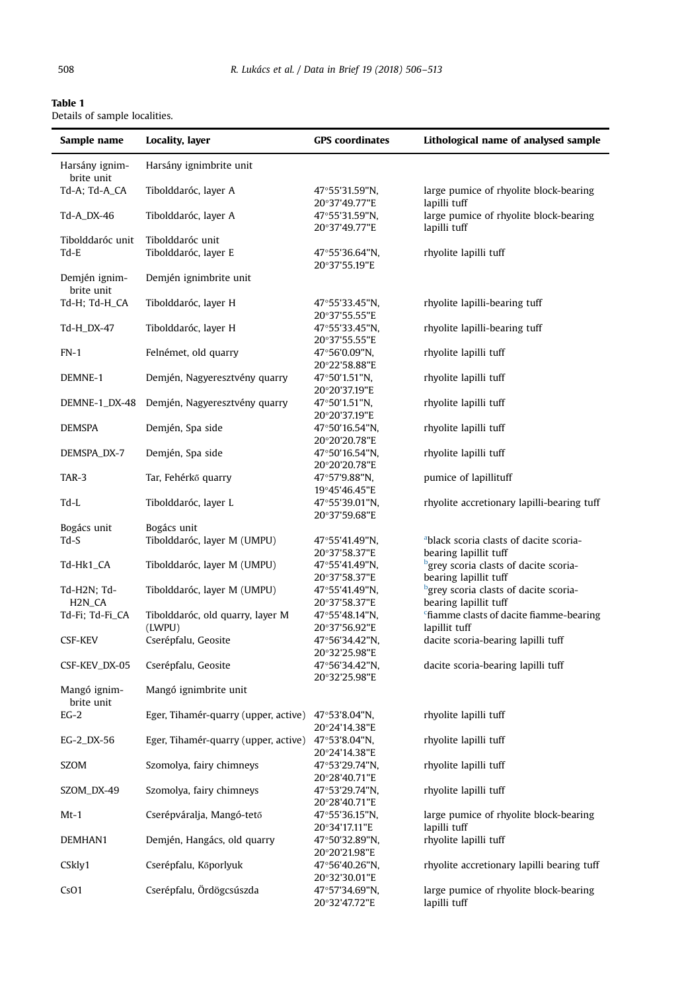<span id="page-3-0"></span>

| Table 1 |                               |  |
|---------|-------------------------------|--|
|         | Details of sample localities. |  |

| Sample name                                     | Locality, layer                                    | <b>GPS</b> coordinates          | Lithological name of analysed sample                                       |
|-------------------------------------------------|----------------------------------------------------|---------------------------------|----------------------------------------------------------------------------|
| Harsány ignim-<br>brite unit                    | Harsány ignimbrite unit                            |                                 |                                                                            |
| Td-A; Td-A_CA                                   | Tibolddaróc, layer A                               | 47°55'31.59"N,<br>20°37'49.77"E | large pumice of rhyolite block-bearing<br>lapilli tuff                     |
| Td-A_DX-46                                      | Tibolddaróc, layer A                               | 47°55'31.59"N,<br>20°37'49.77"E | large pumice of rhyolite block-bearing<br>lapilli tuff                     |
| Tibolddaróc unit                                | Tibolddaróc unit                                   |                                 |                                                                            |
| Td-E                                            | Tibolddaróc, layer E                               | 47°55'36.64"N,<br>20°37'55.19"E | rhyolite lapilli tuff                                                      |
| Demjén ignim-<br>brite unit                     | Demjén ignimbrite unit                             |                                 |                                                                            |
| Td-H; Td-H_CA                                   | Tibolddaróc, layer H                               | 47°55'33.45"N,<br>20°37'55.55"E | rhyolite lapilli-bearing tuff                                              |
| Td-H_DX-47                                      | Tibolddaróc, layer H                               | 47°55'33.45"N,<br>20°37'55.55"E | rhyolite lapilli-bearing tuff                                              |
| $FN-1$                                          | Felnémet, old quarry                               | 47°56'0.09"N,<br>20°22'58.88"E  | rhyolite lapilli tuff                                                      |
| DEMNE-1                                         | Demjén, Nagyeresztvény quarry                      | 47°50'1.51"N,<br>20°20'37.19"E  | rhyolite lapilli tuff                                                      |
| DEMNE-1_DX-48                                   | Demjén, Nagyeresztvény quarry                      | 47°50'1.51"N,<br>20°20'37.19"E  | rhyolite lapilli tuff                                                      |
| <b>DEMSPA</b>                                   | Demjén, Spa side                                   | 47°50'16.54"N,<br>20°20'20.78"E | rhyolite lapilli tuff                                                      |
| DEMSPA_DX-7                                     | Demjén, Spa side                                   | 47°50'16.54"N,<br>20°20'20.78"E | rhyolite lapilli tuff                                                      |
| TAR-3                                           | Tar, Fehérkő quarry                                | 47°57'9.88"N,<br>19°45'46.45"E  | pumice of lapillituff                                                      |
| Td-L                                            | Tibolddaróc, layer L                               | 47°55'39.01"N,<br>20°37'59.68"E | rhyolite accretionary lapilli-bearing tuff                                 |
| Bogács unit                                     | Bogács unit                                        |                                 |                                                                            |
| Td-S                                            | Tibolddaróc, layer M (UMPU)                        | 47°55'41.49"N,<br>20°37'58.37"E | ablack scoria clasts of dacite scoria-<br>bearing lapillit tuff            |
| Td-Hk1_CA                                       | Tibolddaróc, layer M (UMPU)                        | 47°55'41.49"N,<br>20°37'58.37"E | <sup>b</sup> grey scoria clasts of dacite scoria-<br>bearing lapillit tuff |
| Td-H2N; Td-<br>H <sub>2</sub> N <sub>_C</sub> A | Tibolddaróc, layer M (UMPU)                        | 47°55'41.49"N,<br>20°37'58.37"E | <b>b</b> grey scoria clasts of dacite scoria-<br>bearing lapillit tuff     |
| Td-Fi; Td-Fi_CA                                 | Tibolddaróc, old quarry, layer M                   | 47°55'48.14"N,                  | <sup>c</sup> fiamme clasts of dacite fiamme-bearing                        |
|                                                 | (LWPU)                                             | 20°37'56.92"E                   | lapillit tuff                                                              |
| <b>CSF-KEV</b>                                  | Cserépfalu, Geosite                                | 47°56'34.42"N,                  | dacite scoria-bearing lapilli tuff                                         |
|                                                 |                                                    | 20°32'25.98"E                   |                                                                            |
| CSF-KEV_DX-05                                   | Cserépfalu, Geosite                                | 47°56'34.42"N,                  | dacite scoria-bearing lapilli tuff                                         |
|                                                 |                                                    | 20°32'25.98"E                   |                                                                            |
| Mangó ignim-<br>brite unit                      | Mangó ignimbrite unit                              |                                 |                                                                            |
| $EG-2$                                          | Eger, Tihamér-quarry (upper, active) 47°53'8.04"N, | 20°24'14.38"E                   | rhyolite lapilli tuff                                                      |
| EG-2_DX-56                                      | Eger, Tihamér-quarry (upper, active) 47°53'8.04"N, | 20°24'14.38"E                   | rhyolite lapilli tuff                                                      |
| SZOM                                            | Szomolya, fairy chimneys                           | 47°53'29.74"N,<br>20°28'40.71"E | rhyolite lapilli tuff                                                      |
| SZOM_DX-49                                      | Szomolya, fairy chimneys                           | 47°53'29.74"N,<br>20°28'40.71"E | rhyolite lapilli tuff                                                      |
| $Mt-1$                                          | Cserépváralja, Mangó-tető                          | 47°55'36.15"N,<br>20°34'17.11"E | large pumice of rhyolite block-bearing<br>lapilli tuff                     |
| DEMHAN1                                         | Demjén, Hangács, old quarry                        | 47°50'32.89"N,<br>20°20'21.98"E | rhyolite lapilli tuff                                                      |
| CSkly1                                          | Cserépfalu, Kőporlyuk                              | 47°56'40.26"N,<br>20°32'30.01"E | rhyolite accretionary lapilli bearing tuff                                 |
| CsO1                                            | Cserépfalu, Ördögcsúszda                           | 47°57'34.69"N,<br>20°32'47.72"E | large pumice of rhyolite block-bearing<br>lapilli tuff                     |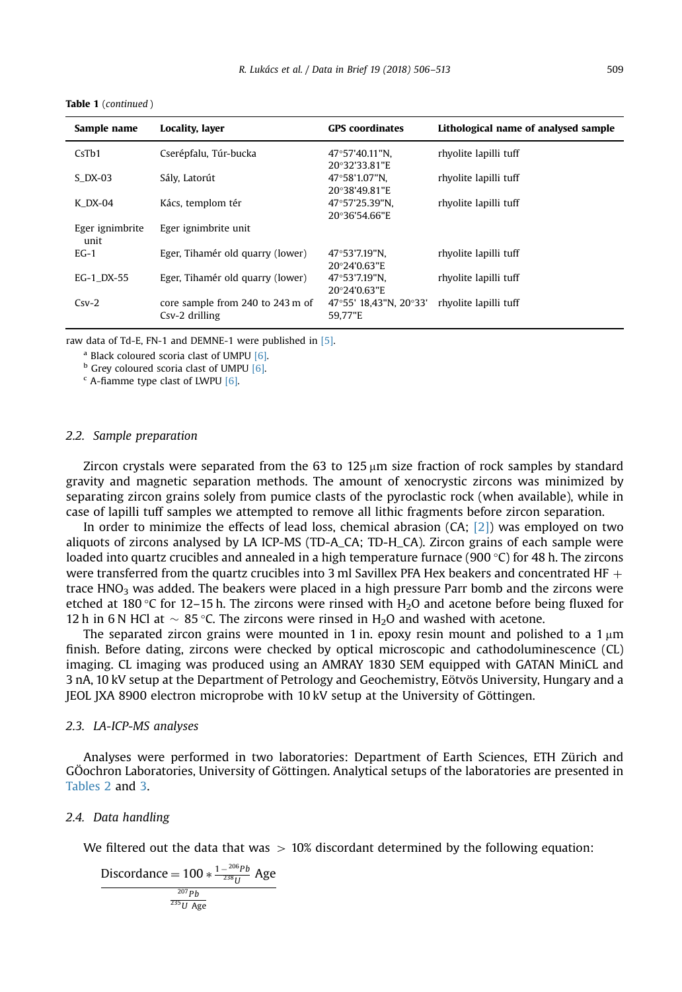| Sample name             | Locality, layer                                    | <b>GPS</b> coordinates                    | Lithological name of analysed sample |
|-------------------------|----------------------------------------------------|-------------------------------------------|--------------------------------------|
| CsTb1                   | Cserépfalu, Túr-bucka                              | 47°57'40.11"N.<br>20°32'33.81"E           | rhyolite lapilli tuff                |
| $S$ DX-03               | Sály, Latorút                                      | 47°58'1.07"N.<br>20°38'49.81"E            | rhyolite lapilli tuff                |
| $K$ DX-04               | Kács, templom tér                                  | $47^{\circ}57'25.39''N.$<br>20°36'54.66"E | rhyolite lapilli tuff                |
| Eger ignimbrite<br>unit | Eger ignimbrite unit                               |                                           |                                      |
| $EG-1$                  | Eger, Tihamér old quarry (lower)                   | 47°53'7.19"N.<br>20°24'0.63"E             | rhyolite lapilli tuff                |
| EG-1 DX-55              | Eger, Tihamér old quarry (lower)                   | 47°53'7.19"N.<br>20°24'0.63"E             | rhyolite lapilli tuff                |
| $Csv-2$                 | core sample from 240 to 243 m of<br>Csv-2 drilling | 47°55' 18.43"N, 20°33'<br>59.77"E         | rhyolite lapilli tuff                |

<span id="page-4-0"></span>Table 1 (continued )

raw data of Td-E, FN-1 and DEMNE-1 were published in [\[5\].](#page-7-0)

<sup>a</sup> Black coloured scoria clast of UMPU [\[6\]](#page-7-0).

 $<sup>b</sup>$  Grey coloured scoria clast of UMPU  $[6]$ .</sup>

 $c$  A-fiamme type clast of LWPU  $[6]$ .

#### 2.2. Sample preparation

Zircon crystals were separated from the  $63$  to  $125 \mu m$  size fraction of rock samples by standard gravity and magnetic separation methods. The amount of xenocrystic zircons was minimized by separating zircon grains solely from pumice clasts of the pyroclastic rock (when available), while in case of lapilli tuff samples we attempted to remove all lithic fragments before zircon separation.

In order to minimize the effects of lead loss, chemical abrasion  $(CA; [2])$  $(CA; [2])$  was employed on two aliquots of zircons analysed by LA ICP-MS (TD-A\_CA; TD-H\_CA). Zircon grains of each sample were loaded into quartz crucibles and annealed in a high temperature furnace (900 $\degree$ C) for 48 h. The zircons were transferred from the quartz crucibles into 3 ml Savillex PFA Hex beakers and concentrated HF  $+$ trace  $HNO<sub>3</sub>$  was added. The beakers were placed in a high pressure Parr bomb and the zircons were etched at 180 °C for 12–15 h. The zircons were rinsed with  $H_2O$  and acetone before being fluxed for 12 h in 6 N HCl at  $\sim$  85 °C. The zircons were rinsed in H<sub>2</sub>O and washed with acetone.

The separated zircon grains were mounted in 1 in. epoxy resin mount and polished to a 1  $\mu$ m finish. Before dating, zircons were checked by optical microscopic and cathodoluminescence (CL) imaging. CL imaging was produced using an AMRAY 1830 SEM equipped with GATAN MiniCL and 3 nA, 10 kV setup at the Department of Petrology and Geochemistry, Eötvös University, Hungary and a JEOL JXA 8900 electron microprobe with 10 kV setup at the University of Göttingen.

#### 2.3. LA-ICP-MS analyses

Analyses were performed in two laboratories: Department of Earth Sciences, ETH Zürich and GÖochron Laboratories, University of Göttingen. Analytical setups of the laboratories are presented in [Tables 2](#page-5-0) and [3.](#page-6-0)

#### 2.4. Data handling

We filtered out the data that was  $> 10\%$  discordant determined by the following equation:

$$
\frac{\text{Discountance} = 100 * \frac{1 - \frac{206}{Pb}}{238} \text{ Age}}{\frac{207}{235} \text{U Age}}
$$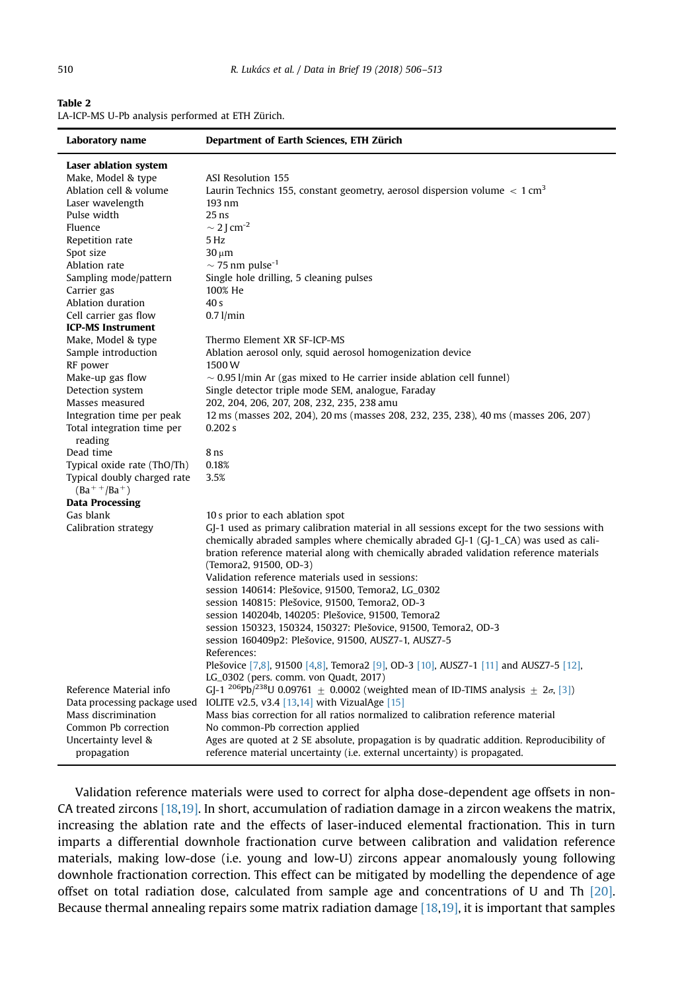<span id="page-5-0"></span>

| Table 2                                          |  |  |
|--------------------------------------------------|--|--|
| LA-ICP-MS U-Pb analysis performed at ETH Zürich. |  |  |

| Laboratory name                                   | Department of Earth Sciences, ETH Zürich                                                                                                                                                                                                                                                                |
|---------------------------------------------------|---------------------------------------------------------------------------------------------------------------------------------------------------------------------------------------------------------------------------------------------------------------------------------------------------------|
| Laser ablation system                             |                                                                                                                                                                                                                                                                                                         |
| Make, Model & type                                | ASI Resolution 155                                                                                                                                                                                                                                                                                      |
| Ablation cell & volume                            | Laurin Technics 155, constant geometry, aerosol dispersion volume $\langle$ 1 cm <sup>3</sup>                                                                                                                                                                                                           |
| Laser wavelength                                  | 193 nm                                                                                                                                                                                                                                                                                                  |
| Pulse width                                       | $25$ ns                                                                                                                                                                                                                                                                                                 |
| Fluence                                           | $\sim$ 2 J cm <sup>-2</sup>                                                                                                                                                                                                                                                                             |
| Repetition rate                                   | 5 Hz                                                                                                                                                                                                                                                                                                    |
| Spot size                                         | 30 µm                                                                                                                                                                                                                                                                                                   |
| Ablation rate                                     | $\sim$ 75 nm pulse <sup>-1</sup>                                                                                                                                                                                                                                                                        |
| Sampling mode/pattern                             | Single hole drilling, 5 cleaning pulses                                                                                                                                                                                                                                                                 |
| Carrier gas                                       | 100% He                                                                                                                                                                                                                                                                                                 |
| Ablation duration                                 | 40 <sub>s</sub><br>$0.7$ l/min                                                                                                                                                                                                                                                                          |
| Cell carrier gas flow<br><b>ICP-MS Instrument</b> |                                                                                                                                                                                                                                                                                                         |
| Make, Model & type                                | Thermo Element XR SF-ICP-MS                                                                                                                                                                                                                                                                             |
| Sample introduction                               | Ablation aerosol only, squid aerosol homogenization device                                                                                                                                                                                                                                              |
| RF power                                          | 1500W                                                                                                                                                                                                                                                                                                   |
| Make-up gas flow                                  | $\sim$ 0.95 l/min Ar (gas mixed to He carrier inside ablation cell funnel)                                                                                                                                                                                                                              |
| Detection system                                  | Single detector triple mode SEM, analogue, Faraday                                                                                                                                                                                                                                                      |
| Masses measured                                   | 202, 204, 206, 207, 208, 232, 235, 238 amu                                                                                                                                                                                                                                                              |
| Integration time per peak                         | 12 ms (masses 202, 204), 20 ms (masses 208, 232, 235, 238), 40 ms (masses 206, 207)                                                                                                                                                                                                                     |
| Total integration time per<br>reading             | 0.202 s                                                                                                                                                                                                                                                                                                 |
| Dead time                                         | 8 <sub>ns</sub>                                                                                                                                                                                                                                                                                         |
| Typical oxide rate (ThO/Th)                       | 0.18%                                                                                                                                                                                                                                                                                                   |
| Typical doubly charged rate<br>$(Ba^{++}/Ba^{+})$ | 3.5%                                                                                                                                                                                                                                                                                                    |
| <b>Data Processing</b>                            |                                                                                                                                                                                                                                                                                                         |
| Gas blank                                         | 10 s prior to each ablation spot                                                                                                                                                                                                                                                                        |
| Calibration strategy                              | GJ-1 used as primary calibration material in all sessions except for the two sessions with<br>chemically abraded samples where chemically abraded GJ-1 (GJ-1_CA) was used as cali-<br>bration reference material along with chemically abraded validation reference materials<br>(Temora2, 91500, OD-3) |
|                                                   | Validation reference materials used in sessions:                                                                                                                                                                                                                                                        |
|                                                   | session 140614: Plešovice, 91500, Temora2, LG_0302                                                                                                                                                                                                                                                      |
|                                                   | session 140815: Plešovice, 91500, Temora2, OD-3                                                                                                                                                                                                                                                         |
|                                                   | session 140204b, 140205; Plešovice, 91500, Temora2<br>session 150323, 150324, 150327; Plešovice, 91500, Temora2, OD-3                                                                                                                                                                                   |
|                                                   | session 160409p2: Plešovice, 91500, AUSZ7-1, AUSZ7-5                                                                                                                                                                                                                                                    |
|                                                   | References:                                                                                                                                                                                                                                                                                             |
|                                                   | Plešovice [7,8], 91500 [4,8], Temora2 [9], OD-3 [10], AUSZ7-1 [11] and AUSZ7-5 [12],                                                                                                                                                                                                                    |
| Reference Material info                           | LG_0302 (pers. comm. von Quadt, 2017)<br>GJ-1 <sup>206</sup> Pb/ <sup>238</sup> U 0.09761 $\pm$ 0.0002 (weighted mean of ID-TIMS analysis $\pm$ 2 $\sigma$ , [3])                                                                                                                                       |
| Data processing package used                      | IOLITE v2.5, v3.4 [13,14] with VizualAge [15]                                                                                                                                                                                                                                                           |
| Mass discrimination                               | Mass bias correction for all ratios normalized to calibration reference material                                                                                                                                                                                                                        |
| Common Pb correction                              | No common-Pb correction applied                                                                                                                                                                                                                                                                         |
| Uncertainty level &<br>propagation                | Ages are quoted at 2 SE absolute, propagation is by quadratic addition. Reproducibility of<br>reference material uncertainty (i.e. external uncertainty) is propagated.                                                                                                                                 |

Validation reference materials were used to correct for alpha dose-dependent age offsets in non-CA treated zircons [\[18,19\]](#page-8-0). In short, accumulation of radiation damage in a zircon weakens the matrix, increasing the ablation rate and the effects of laser-induced elemental fractionation. This in turn imparts a differential downhole fractionation curve between calibration and validation reference materials, making low-dose (i.e. young and low-U) zircons appear anomalously young following downhole fractionation correction. This effect can be mitigated by modelling the dependence of age offset on total radiation dose, calculated from sample age and concentrations of U and Th [\[20\]](#page-8-0). Because thermal annealing repairs some matrix radiation damage [\[18,19\]](#page-8-0), it is important that samples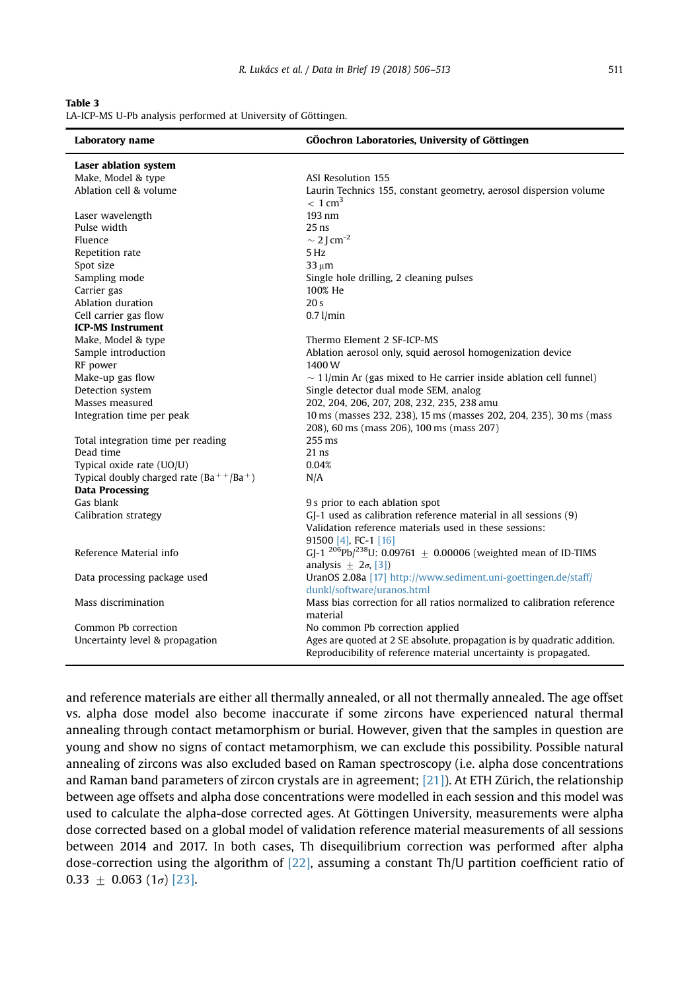<span id="page-6-0"></span>

| ----<br>$\sim$<br>$\sim$ |  |
|--------------------------|--|
|--------------------------|--|

| LA-ICP-MS U-Pb analysis performed at University of Göttingen. |  |  |  |
|---------------------------------------------------------------|--|--|--|
|---------------------------------------------------------------|--|--|--|

| Laboratory name                                | GÖochron Laboratories, University of Göttingen                                            |
|------------------------------------------------|-------------------------------------------------------------------------------------------|
| <b>Laser ablation system</b>                   |                                                                                           |
| Make, Model & type                             | <b>ASI Resolution 155</b>                                                                 |
| Ablation cell & volume                         | Laurin Technics 155, constant geometry, aerosol dispersion volume                         |
|                                                | $< 1$ cm <sup>3</sup>                                                                     |
| Laser wavelength                               | 193 nm                                                                                    |
| Pulse width                                    | $25$ ns                                                                                   |
| Fluence                                        | $\sim$ 2 J cm <sup>-2</sup>                                                               |
| Repetition rate                                | 5 <sub>Hz</sub>                                                                           |
| Spot size                                      | $33 \mu m$                                                                                |
| Sampling mode                                  | Single hole drilling, 2 cleaning pulses                                                   |
| Carrier gas                                    | 100% He                                                                                   |
| Ablation duration                              | 20 <sub>s</sub>                                                                           |
| Cell carrier gas flow                          | $0.7$ l/min                                                                               |
| <b>ICP-MS Instrument</b>                       |                                                                                           |
| Make, Model & type                             | Thermo Element 2 SF-ICP-MS                                                                |
| Sample introduction                            | Ablation aerosol only, squid aerosol homogenization device                                |
| RF power                                       | 1400W                                                                                     |
| Make-up gas flow                               | $\sim$ 1 l/min Ar (gas mixed to He carrier inside ablation cell funnel)                   |
| Detection system                               | Single detector dual mode SEM, analog                                                     |
| Masses measured                                | 202, 204, 206, 207, 208, 232, 235, 238 amu                                                |
| Integration time per peak                      | 10 ms (masses 232, 238), 15 ms (masses 202, 204, 235), 30 ms (mass                        |
|                                                | 208), 60 ms (mass 206), 100 ms (mass 207)                                                 |
| Total integration time per reading             | 255 ms                                                                                    |
| Dead time                                      | $21$ ns                                                                                   |
| Typical oxide rate (UO/U)                      | 0.04%                                                                                     |
| Typical doubly charged rate $(Ba^{++}/Ba^{+})$ | N/A                                                                                       |
| <b>Data Processing</b>                         |                                                                                           |
| Gas blank                                      | 9 s prior to each ablation spot                                                           |
| Calibration strategy                           | GI-1 used as calibration reference material in all sessions (9)                           |
|                                                | Validation reference materials used in these sessions:                                    |
|                                                | 91500 [4], FC-1 [16]                                                                      |
| Reference Material info                        | GJ-1 <sup>206</sup> Pb/ <sup>238</sup> U: 0.09761 $\pm$ 0.00006 (weighted mean of ID-TIMS |
|                                                | analysis + $2\sigma$ , [3])                                                               |
| Data processing package used                   | UranOS 2.08a [17] http://www.sediment.uni-goettingen.de/staff/                            |
|                                                | dunkl/software/uranos.html                                                                |
| Mass discrimination                            | Mass bias correction for all ratios normalized to calibration reference                   |
|                                                | material                                                                                  |
| Common Pb correction                           | No common Pb correction applied                                                           |
| Uncertainty level & propagation                | Ages are quoted at 2 SE absolute, propagation is by quadratic addition.                   |
|                                                | Reproducibility of reference material uncertainty is propagated.                          |

and reference materials are either all thermally annealed, or all not thermally annealed. The age offset vs. alpha dose model also become inaccurate if some zircons have experienced natural thermal annealing through contact metamorphism or burial. However, given that the samples in question are young and show no signs of contact metamorphism, we can exclude this possibility. Possible natural annealing of zircons was also excluded based on Raman spectroscopy (i.e. alpha dose concentrations and Raman band parameters of zircon crystals are in agreement; [\[21\]\)](#page-8-0). At ETH Zürich, the relationship between age offsets and alpha dose concentrations were modelled in each session and this model was used to calculate the alpha-dose corrected ages. At Göttingen University, measurements were alpha dose corrected based on a global model of validation reference material measurements of all sessions between 2014 and 2017. In both cases, Th disequilibrium correction was performed after alpha dose-correction using the algorithm of [\[22\],](#page-8-0) assuming a constant Th/U partition coefficient ratio of  $0.33 \pm 0.063$   $(1\sigma)$  [\[23\]](#page-8-0).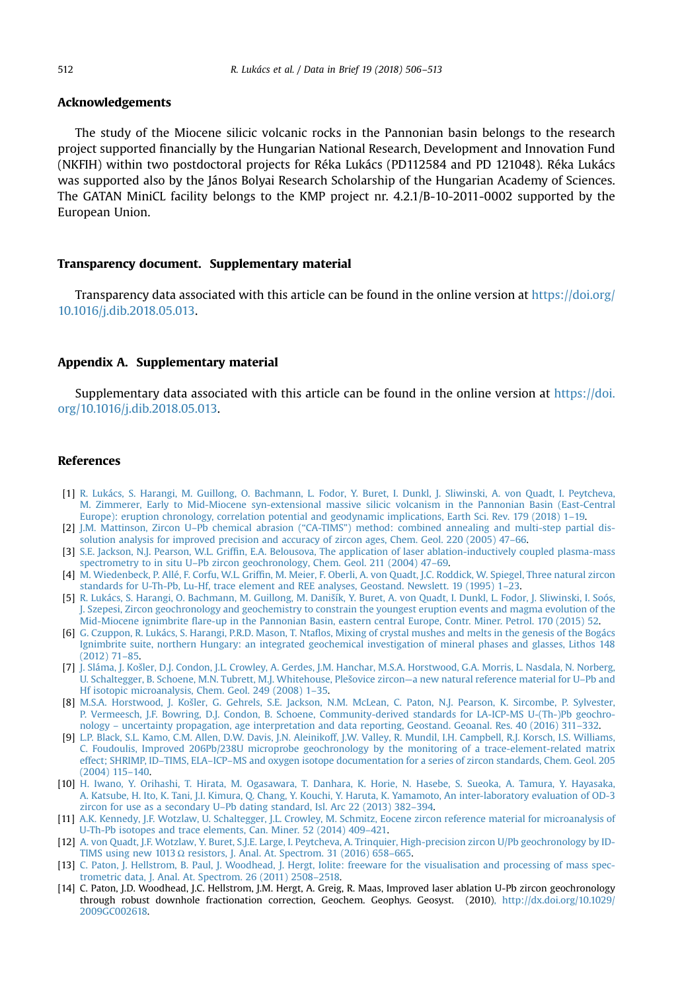#### <span id="page-7-0"></span>Acknowledgements

The study of the Miocene silicic volcanic rocks in the Pannonian basin belongs to the research project supported financially by the Hungarian National Research, Development and Innovation Fund (NKFIH) within two postdoctoral projects for Réka Lukács (PD112584 and PD 121048). Réka Lukács was supported also by the János Bolyai Research Scholarship of the Hungarian Academy of Sciences. The GATAN MiniCL facility belongs to the KMP project nr. 4.2.1/B-10-2011-0002 supported by the European Union.

#### Transparency document. Supplementary material

Transparency data associated with this article can be found in the online version at [https://doi.org/](https://doi.org/10.1016/j.dib.2018.05.013) [10.1016/j.dib.2018.05.013.](https://doi.org/10.1016/j.dib.2018.05.013)

#### Appendix A. Supplementary material

Supplementary data associated with this article can be found in the online version at [https://doi.](https://doi.org/10.1016/j.dib.2018.05.013) [org/10.1016/j.dib.2018.05.013](https://doi.org/10.1016/j.dib.2018.05.013).

#### References

- [1] [R. Lukács, S. Harangi, M. Guillong, O. Bachmann, L. Fodor, Y. Buret, I. Dunkl, J. Sliwinski, A. von Quadt, I. Peytcheva,](http://refhub.elsevier.com/S2352-3409(18)30516-X/sbref1) [M. Zimmerer, Early to Mid-Miocene syn-extensional massive silicic volcanism in the Pannonian Basin \(East-Central](http://refhub.elsevier.com/S2352-3409(18)30516-X/sbref1) [Europe\): eruption chronology, correlation potential and geodynamic implications, Earth Sci. Rev. 179 \(2018\) 1](http://refhub.elsevier.com/S2352-3409(18)30516-X/sbref1)–19.
- [2] J.M. Mattinson, Zircon U–Pb chemical abrasion ("CA-TIMS"[\) method: combined annealing and multi-step partial dis](http://refhub.elsevier.com/S2352-3409(18)30516-X/sbref2)[solution analysis for improved precision and accuracy of zircon ages, Chem. Geol. 220 \(2005\) 47](http://refhub.elsevier.com/S2352-3409(18)30516-X/sbref2)–66.
- [3] S.E. Jackson, N.J. Pearson, W.L. Griffi[n, E.A. Belousova, The application of laser ablation-inductively coupled plasma-mass](http://refhub.elsevier.com/S2352-3409(18)30516-X/sbref3) spectrometry to in situ U–[Pb zircon geochronology, Chem. Geol. 211 \(2004\) 47](http://refhub.elsevier.com/S2352-3409(18)30516-X/sbref3)–69.
- [4] M. Wiedenbeck, P. Allé, F. Corfu, W.L. Griffi[n, M. Meier, F. Oberli, A. von Quadt, J.C. Roddick, W. Spiegel, Three natural zircon](http://refhub.elsevier.com/S2352-3409(18)30516-X/sbref4) [standards for U-Th-Pb, Lu-Hf, trace element and REE analyses, Geostand. Newslett. 19 \(1995\) 1](http://refhub.elsevier.com/S2352-3409(18)30516-X/sbref4)–23.
- [5] R. Lukács, S. Harangi, O. Bachmann, M. Guillong, M. Daniš[ík, Y. Buret, A. von Quadt, I. Dunkl, L. Fodor, J. Sliwinski, I. Soós,](http://refhub.elsevier.com/S2352-3409(18)30516-X/sbref5) [J. Szepesi, Zircon geochronology and geochemistry to constrain the youngest eruption events and magma evolution of the](http://refhub.elsevier.com/S2352-3409(18)30516-X/sbref5) Mid-Miocene ignimbrite fl[are-up in the Pannonian Basin, eastern central Europe, Contr. Miner. Petrol. 170 \(2015\) 52.](http://refhub.elsevier.com/S2352-3409(18)30516-X/sbref5)
- [6] G. Czuppon, R. Lukács, S. Harangi, P.R.D. Mason, T. Ntafl[os, Mixing of crystal mushes and melts in the genesis of the Bogács](http://refhub.elsevier.com/S2352-3409(18)30516-X/sbref6) [Ignimbrite suite, northern Hungary: an integrated geochemical investigation of mineral phases and glasses, Lithos 148](http://refhub.elsevier.com/S2352-3409(18)30516-X/sbref6) [\(2012\) 71](http://refhub.elsevier.com/S2352-3409(18)30516-X/sbref6)–85.
- [7] J. Sláma, J. Koš[ler, D.J. Condon, J.L. Crowley, A. Gerdes, J.M. Hanchar, M.S.A. Horstwood, G.A. Morris, L. Nasdala, N. Norberg,](http://refhub.elsevier.com/S2352-3409(18)30516-X/sbref7) [U. Schaltegger, B. Schoene, M.N. Tubrett, M.J. Whitehouse, Ple](http://refhub.elsevier.com/S2352-3409(18)30516-X/sbref7)šovice zircon—a new natural reference material for U–Pb and [Hf isotopic microanalysis, Chem. Geol. 249 \(2008\) 1](http://refhub.elsevier.com/S2352-3409(18)30516-X/sbref7)–35.
- [8] M.S.A. Horstwood, J. Koš[ler, G. Gehrels, S.E. Jackson, N.M. McLean, C. Paton, N.J. Pearson, K. Sircombe, P. Sylvester,](http://refhub.elsevier.com/S2352-3409(18)30516-X/sbref8) [P. Vermeesch, J.F. Bowring, D.J. Condon, B. Schoene, Community-derived standards for LA-ICP-MS U-\(Th-\)Pb geochro](http://refhub.elsevier.com/S2352-3409(18)30516-X/sbref8)nology – [uncertainty propagation, age interpretation and data reporting, Geostand. Geoanal. Res. 40 \(2016\) 311](http://refhub.elsevier.com/S2352-3409(18)30516-X/sbref8)–332.
- [9] [L.P. Black, S.L. Kamo, C.M. Allen, D.W. Davis, J.N. Aleinikoff, J.W. Valley, R. Mundil, I.H. Campbell, R.J. Korsch, I.S. Williams,](http://refhub.elsevier.com/S2352-3409(18)30516-X/sbref9) [C. Foudoulis, Improved 206Pb/238U microprobe geochronology by the monitoring of a trace-element-related matrix](http://refhub.elsevier.com/S2352-3409(18)30516-X/sbref9) effect; SHRIMP, ID–TIMS, ELA–ICP–[MS and oxygen isotope documentation for a series of zircon standards, Chem. Geol. 205](http://refhub.elsevier.com/S2352-3409(18)30516-X/sbref9) [\(2004\) 115](http://refhub.elsevier.com/S2352-3409(18)30516-X/sbref9)–140.
- [10] [H. Iwano, Y. Orihashi, T. Hirata, M. Ogasawara, T. Danhara, K. Horie, N. Hasebe, S. Sueoka, A. Tamura, Y. Hayasaka,](http://refhub.elsevier.com/S2352-3409(18)30516-X/sbref10) [A. Katsube, H. Ito, K. Tani, J.I. Kimura, Q. Chang, Y. Kouchi, Y. Haruta, K. Yamamoto, An inter-laboratory evaluation of OD-3](http://refhub.elsevier.com/S2352-3409(18)30516-X/sbref10) zircon for use as a secondary U–[Pb dating standard, Isl. Arc 22 \(2013\) 382](http://refhub.elsevier.com/S2352-3409(18)30516-X/sbref10)–394.
- [11] [A.K. Kennedy, J.F. Wotzlaw, U. Schaltegger, J.L. Crowley, M. Schmitz, Eocene zircon reference material for microanalysis of](http://refhub.elsevier.com/S2352-3409(18)30516-X/sbref11) [U-Th-Pb isotopes and trace elements, Can. Miner. 52 \(2014\) 409](http://refhub.elsevier.com/S2352-3409(18)30516-X/sbref11)–421.
- [12] [A. von Quadt, J.F. Wotzlaw, Y. Buret, S.J.E. Large, I. Peytcheva, A. Trinquier, High-precision zircon U/Pb geochronology by ID-](http://refhub.elsevier.com/S2352-3409(18)30516-X/sbref12)TIMS using new 1013 Ω [resistors, J. Anal. At. Spectrom. 31 \(2016\) 658](http://refhub.elsevier.com/S2352-3409(18)30516-X/sbref12)–665.
- [13] [C. Paton, J. Hellstrom, B. Paul, J. Woodhead, J. Hergt, Iolite: freeware for the visualisation and processing of mass spec](http://refhub.elsevier.com/S2352-3409(18)30516-X/sbref13)[trometric data, J. Anal. At. Spectrom. 26 \(2011\) 2508](http://refhub.elsevier.com/S2352-3409(18)30516-X/sbref13)–2518.
- [14] C. Paton, J.D. Woodhead, J.C. Hellstrom, J.M. Hergt, A. Greig, R. Maas, Improved laser ablation U-Pb zircon geochronology through robust downhole fractionation correction, Geochem. Geophys. Geosyst. (2010), [http://dx.doi.org/10.1029/](http://dx.doi.org/10.1029/2009GC002618) [2009GC002618](http://dx.doi.org/10.1029/2009GC002618).